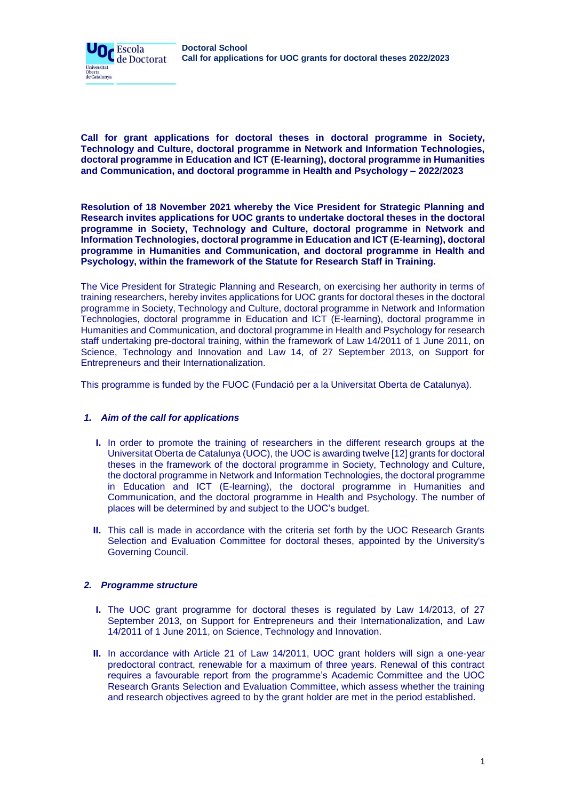



**Call for grant applications for doctoral theses in doctoral programme in Society, Technology and Culture, doctoral programme in Network and Information Technologies, doctoral programme in Education and ICT (E-learning), doctoral programme in Humanities and Communication, and doctoral programme in Health and Psychology – 2022/2023**

**Resolution of 18 November 2021 whereby the Vice President for Strategic Planning and Research invites applications for UOC grants to undertake doctoral theses in the doctoral programme in Society, Technology and Culture, doctoral programme in Network and Information Technologies, doctoral programme in Education and ICT (E-learning), doctoral programme in Humanities and Communication, and doctoral programme in Health and Psychology, within the framework of the Statute for Research Staff in Training.**

The Vice President for Strategic Planning and Research, on exercising her authority in terms of training researchers, hereby invites applications for UOC grants for doctoral theses in the doctoral programme in Society, Technology and Culture, doctoral programme in Network and Information Technologies, doctoral programme in Education and ICT (E-learning), doctoral programme in Humanities and Communication, and doctoral programme in Health and Psychology for research staff undertaking pre-doctoral training, within the framework of Law 14/2011 of 1 June 2011, on Science, Technology and Innovation and Law 14, of 27 September 2013, on Support for Entrepreneurs and their Internationalization.

This programme is funded by the FUOC (Fundació per a la Universitat Oberta de Catalunya).

# *1. Aim of the call for applications*

- **I.** In order to promote the training of researchers in the different research groups at the Universitat Oberta de Catalunya (UOC), the UOC is awarding twelve [12] grants for doctoral theses in the framework of the doctoral programme in Society, Technology and Culture, the doctoral programme in Network and Information Technologies, the doctoral programme in Education and ICT (E-learning), the doctoral programme in Humanities and Communication, and the doctoral programme in Health and Psychology. The number of places will be determined by and subject to the UOC's budget.
- **II.** This call is made in accordance with the criteria set forth by the UOC Research Grants Selection and Evaluation Committee for doctoral theses, appointed by the University's Governing Council.

### *2. Programme structure*

- **I.** The UOC grant programme for doctoral theses is regulated by Law 14/2013, of 27 September 2013, on Support for Entrepreneurs and their Internationalization, and Law 14/2011 of 1 June 2011, on Science, Technology and Innovation.
- **II.** In accordance with Article 21 of Law 14/2011, UOC grant holders will sign a one-year predoctoral contract, renewable for a maximum of three years. Renewal of this contract requires a favourable report from the programme's Academic Committee and the UOC Research Grants Selection and Evaluation Committee, which assess whether the training and research objectives agreed to by the grant holder are met in the period established.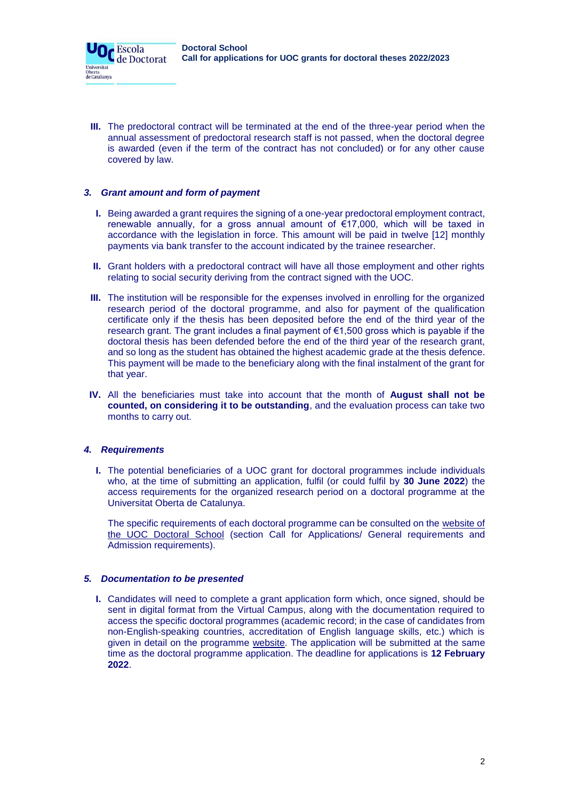**III.** The predoctoral contract will be terminated at the end of the three-year period when the annual assessment of predoctoral research staff is not passed, when the doctoral degree is awarded (even if the term of the contract has not concluded) or for any other cause covered by law.

### *3. Grant amount and form of payment*

 $\mathbf{O}_{\mathbf{C}}$  Escola

Universitat Oberta<br>de Catalunya de Doctorat

- **I.** Being awarded a grant requires the signing of a one-year predoctoral employment contract, renewable annually, for a gross annual amount of €17,000, which will be taxed in accordance with the legislation in force. This amount will be paid in twelve [12] monthly payments via bank transfer to the account indicated by the trainee researcher.
- **II.** Grant holders with a predoctoral contract will have all those employment and other rights relating to social security deriving from the contract signed with the UOC.
- **III.** The institution will be responsible for the expenses involved in enrolling for the organized research period of the doctoral programme, and also for payment of the qualification certificate only if the thesis has been deposited before the end of the third year of the research grant. The grant includes a final payment of  $\epsilon$ 1,500 gross which is payable if the doctoral thesis has been defended before the end of the third year of the research grant, and so long as the student has obtained the highest academic grade at the thesis defence. This payment will be made to the beneficiary along with the final instalment of the grant for that year.
- **IV.** All the beneficiaries must take into account that the month of **August shall not be counted, on considering it to be outstanding**, and the evaluation process can take two months to carry out.

### *4. Requirements*

**I.** The potential beneficiaries of a UOC grant for doctoral programmes include individuals who, at the time of submitting an application, fulfil (or could fulfil by **30 June 2022**) the access requirements for the organized research period on a doctoral programme at the Universitat Oberta de Catalunya.

The specific requirements of each doctoral programme can be consulted on the website of [the UOC Doctoral School](https://www.uoc.edu/portal/en/escola-doctorat/index.html) (section Call for Applications/ General requirements and Admission requirements).

### *5. Documentation to be presented*

**I.** Candidates will need to complete a grant application form which, once signed, should be sent in digital format from the Virtual Campus, along with the documentation required to access the specific doctoral programmes (academic record; in the case of candidates from non-English-speaking countries, accreditation of English language skills, etc.) which is given in detail on the programme [website.](https://www.uoc.edu/portal/en/escola-doctorat/index.html) The application will be submitted at the same time as the doctoral programme application. The deadline for applications is **12 February 2022**.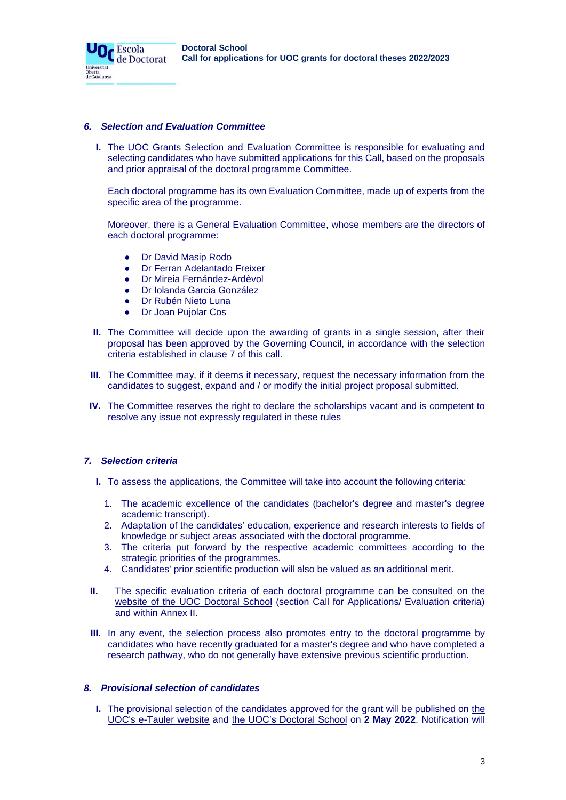**Doctoral School Call for applications for UOC grants for doctoral theses 2022/2023**

### *6. Selection and Evaluation Committee*

Or Escola

Universitat Oberta<br>de Catalunya de Doctorat

**I.** The UOC Grants Selection and Evaluation Committee is responsible for evaluating and selecting candidates who have submitted applications for this Call, based on the proposals and prior appraisal of the doctoral programme Committee.

Each doctoral programme has its own Evaluation Committee, made up of experts from the specific area of the programme.

Moreover, there is a General Evaluation Committee, whose members are the directors of each doctoral programme:

- Dr David Masip Rodo
- Dr Ferran Adelantado Freixer
- Dr Mireia Fernández-Ardèvol
- **Dr Iolanda Garcia González**
- **Dr Rubén Nieto Luna**
- Dr Joan Pujolar Cos
- **II.** The Committee will decide upon the awarding of grants in a single session, after their proposal has been approved by the Governing Council, in accordance with the selection criteria established in clause 7 of this call.
- **III.** The Committee may, if it deems it necessary, request the necessary information from the candidates to suggest, expand and / or modify the initial project proposal submitted.
- **IV.** The Committee reserves the right to declare the scholarships vacant and is competent to resolve any issue not expressly regulated in these rules

### *7. Selection criteria*

- **I.** To assess the applications, the Committee will take into account the following criteria:
	- 1. The academic excellence of the candidates (bachelor's degree and master's degree academic transcript).
	- 2. Adaptation of the candidates' education, experience and research interests to fields of knowledge or subject areas associated with the doctoral programme.
	- 3. The criteria put forward by the respective academic committees according to the strategic priorities of the programmes.
	- 4. Candidates' prior scientific production will also be valued as an additional merit.
- **II.** The specific evaluation criteria of each doctoral programme can be consulted on the [website of the UOC Doctoral School](https://www.uoc.edu/portal/en/escola-doctorat/index.html) (section Call for Applications/ Evaluation criteria) and within Annex II.
- **III.** In any event, the selection process also promotes entry to the doctoral programme by candidates who have recently graduated for a master's degree and who have completed a research pathway, who do not generally have extensive previous scientific production.

#### *8. Provisional selection of candidates*

**I.** The provisional selection of the candidates approved for the grant will be published on [the](https://seu-electronica.uoc.edu/portal/ca/seu-electronica/tramits-serveis/tauler-anuncis/index.html)  [UOC's e-Tauler website](https://seu-electronica.uoc.edu/portal/ca/seu-electronica/tramits-serveis/tauler-anuncis/index.html) and [the UOC's Doctoral School](https://www.uoc.edu/portal/ca/escola-doctorat/index.html) on **2 May 2022**. Notification will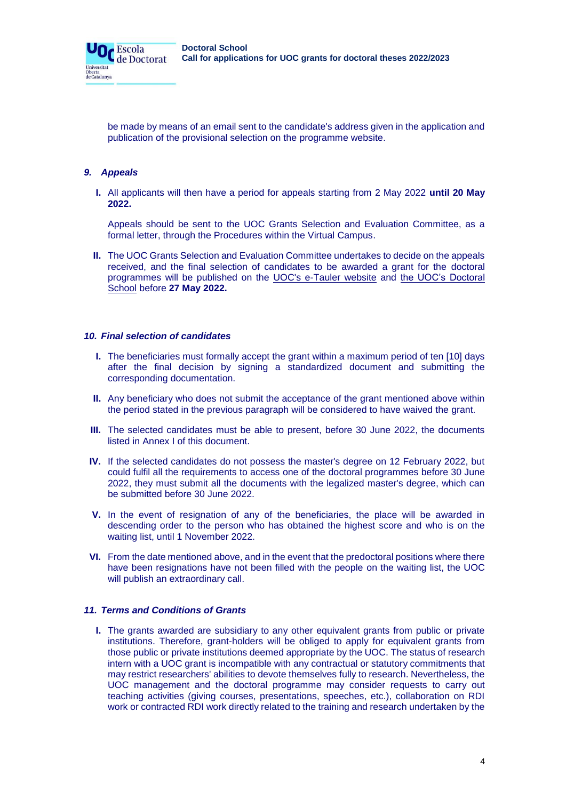

be made by means of an email sent to the candidate's address given in the application and publication of the provisional selection on the programme website.

### *9. Appeals*

Universitat Oberta<br>de Catalunya

> **I.** All applicants will then have a period for appeals starting from 2 May 2022 **until 20 May 2022.**

Appeals should be sent to the UOC Grants Selection and Evaluation Committee, as a formal letter, through the Procedures within the Virtual Campus.

**II.** The UOC Grants Selection and Evaluation Committee undertakes to decide on the appeals received, and the final selection of candidates to be awarded a grant for the doctoral programmes will be published on the [UOC's e-Tauler website](https://seu-electronica.uoc.edu/portal/ca/seu-electronica/tramits-serveis/tauler-anuncis/index.html) and [the UOC's Doctoral](https://www.uoc.edu/portal/ca/escola-doctorat/index.html)  [School](https://www.uoc.edu/portal/ca/escola-doctorat/index.html) [b](https://www.uoc.edu/portal/ca/escola-doctorat/index.html)efore **27 May 2022.**

#### *10. Final selection of candidates*

- **I.** The beneficiaries must formally accept the grant within a maximum period of ten [10] days after the final decision by signing a standardized document and submitting the corresponding documentation.
- **II.** Any beneficiary who does not submit the acceptance of the grant mentioned above within the period stated in the previous paragraph will be considered to have waived the grant.
- **III.** The selected candidates must be able to present, before 30 June 2022, the documents listed in Annex I of this document.
- **IV.** If the selected candidates do not possess the master's degree on 12 February 2022, but could fulfil all the requirements to access one of the doctoral programmes before 30 June 2022, they must submit all the documents with the legalized master's degree, which can be submitted before 30 June 2022.
- **V.** In the event of resignation of any of the beneficiaries, the place will be awarded in descending order to the person who has obtained the highest score and who is on the waiting list, until 1 November 2022.
- **VI.** From the date mentioned above, and in the event that the predoctoral positions where there have been resignations have not been filled with the people on the waiting list, the UOC will publish an extraordinary call.

### *11. Terms and Conditions of Grants*

**I.** The grants awarded are subsidiary to any other equivalent grants from public or private institutions. Therefore, grant-holders will be obliged to apply for equivalent grants from those public or private institutions deemed appropriate by the UOC. The status of research intern with a UOC grant is incompatible with any contractual or statutory commitments that may restrict researchers' abilities to devote themselves fully to research. Nevertheless, the UOC management and the doctoral programme may consider requests to carry out teaching activities (giving courses, presentations, speeches, etc.), collaboration on RDI work or contracted RDI work directly related to the training and research undertaken by the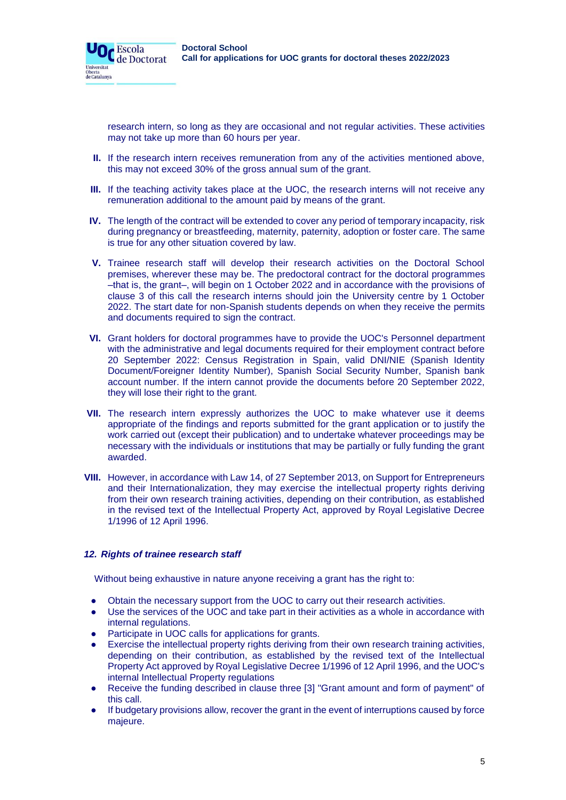

research intern, so long as they are occasional and not regular activities. These activities may not take up more than 60 hours per year.

- **II.** If the research intern receives remuneration from any of the activities mentioned above, this may not exceed 30% of the gross annual sum of the grant.
- **III.** If the teaching activity takes place at the UOC, the research interns will not receive any remuneration additional to the amount paid by means of the grant.
- **IV.** The length of the contract will be extended to cover any period of temporary incapacity, risk during pregnancy or breastfeeding, maternity, paternity, adoption or foster care. The same is true for any other situation covered by law.
- **V.** Trainee research staff will develop their research activities on the Doctoral School premises, wherever these may be. The predoctoral contract for the doctoral programmes –that is, the grant–, will begin on 1 October 2022 and in accordance with the provisions of clause 3 of this call the research interns should join the University centre by 1 October 2022. The start date for non-Spanish students depends on when they receive the permits and documents required to sign the contract.
- **VI.** Grant holders for doctoral programmes have to provide the UOC's Personnel department with the administrative and legal documents required for their employment contract before 20 September 2022: Census Registration in Spain, valid DNI/NIE (Spanish Identity Document/Foreigner Identity Number), Spanish Social Security Number, Spanish bank account number. If the intern cannot provide the documents before 20 September 2022, they will lose their right to the grant.
- **VII.** The research intern expressly authorizes the UOC to make whatever use it deems appropriate of the findings and reports submitted for the grant application or to justify the work carried out (except their publication) and to undertake whatever proceedings may be necessary with the individuals or institutions that may be partially or fully funding the grant awarded.
- **VIII.** However, in accordance with Law 14, of 27 September 2013, on Support for Entrepreneurs and their Internationalization, they may exercise the intellectual property rights deriving from their own research training activities, depending on their contribution, as established in the revised text of the Intellectual Property Act, approved by Royal Legislative Decree 1/1996 of 12 April 1996.

### *12. Rights of trainee research staff*

Universitat Dberta<br>le Catalunya

Without being exhaustive in nature anyone receiving a grant has the right to:

- Obtain the necessary support from the UOC to carry out their research activities.
- Use the services of the UOC and take part in their activities as a whole in accordance with internal regulations.
- Participate in UOC calls for applications for grants.
- Exercise the intellectual property rights deriving from their own research training activities, depending on their contribution, as established by the revised text of the Intellectual Property Act approved by Royal Legislative Decree 1/1996 of 12 April 1996, and the UOC's internal Intellectual Property regulations
- Receive the funding described in clause three [3] "Grant amount and form of payment" of this call.
- If budgetary provisions allow, recover the grant in the event of interruptions caused by force majeure.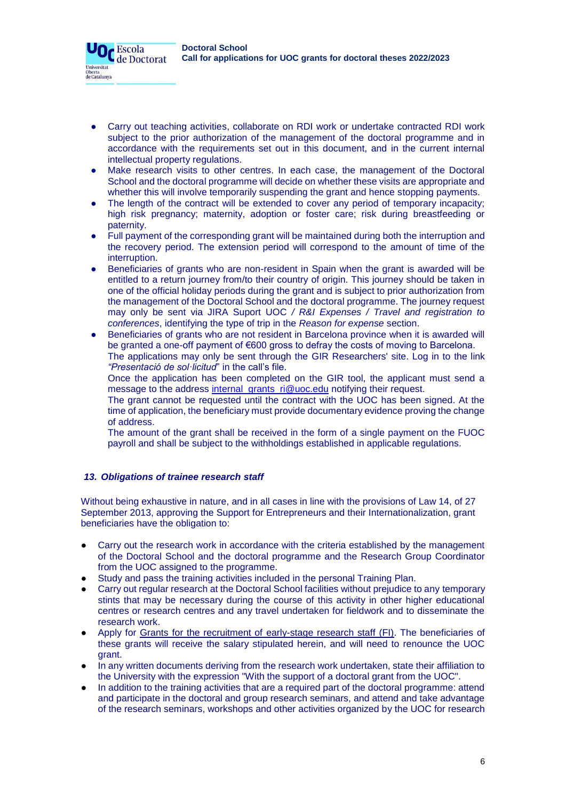

- Carry out teaching activities, collaborate on RDI work or undertake contracted RDI work subject to the prior authorization of the management of the doctoral programme and in accordance with the requirements set out in this document, and in the current internal intellectual property regulations.
- Make research visits to other centres. In each case, the management of the Doctoral School and the doctoral programme will decide on whether these visits are appropriate and whether this will involve temporarily suspending the grant and hence stopping payments.
- The length of the contract will be extended to cover any period of temporary incapacity; high risk pregnancy; maternity, adoption or foster care; risk during breastfeeding or paternity.
- Full payment of the corresponding grant will be maintained during both the interruption and the recovery period. The extension period will correspond to the amount of time of the interruption.
- Beneficiaries of grants who are non-resident in Spain when the grant is awarded will be entitled to a return journey from/to their country of origin. This journey should be taken in one of the official holiday periods during the grant and is subject to prior authorization from the management of the Doctoral School and the doctoral programme. The journey request may only be sent via JIRA Suport UOC */ R&I Expenses / Travel and registration to conferences*, identifying the type of trip in the *Reason for expense* section.
- Beneficiaries of grants who are not resident in Barcelona province when it is awarded will be granted a one-off payment of €600 gross to defray the costs of moving to Barcelona. The applications may only be sent through the GIR Researchers' site. Log in to the link *"Presentació de sol·licitud*" in the call's file.

Once the application has been completed on the GIR tool, the applicant must send a message to the address [internal\\_grants\\_ri@uoc.edu](mailto:internal_grants_ri@uoc.edu) notifying their request.

The grant cannot be requested until the contract with the UOC has been signed. At the time of application, the beneficiary must provide documentary evidence proving the change of address.

The amount of the grant shall be received in the form of a single payment on the FUOC payroll and shall be subject to the withholdings established in applicable regulations.

# *13. Obligations of trainee research staff*

Without being exhaustive in nature, and in all cases in line with the provisions of Law 14, of 27 September 2013, approving the Support for Entrepreneurs and their Internationalization, grant beneficiaries have the obligation to:

- Carry out the research work in accordance with the criteria established by the management of the Doctoral School and the doctoral programme and the Research Group Coordinator from the UOC assigned to the programme.
- Study and pass the training activities included in the personal Training Plan.
- Carry out regular research at the Doctoral School facilities without prejudice to any temporary stints that may be necessary during the course of this activity in other higher educational centres or research centres and any travel undertaken for fieldwork and to disseminate the research work.
- Apply for [Grants for the recruitment of early-stage research staff \(FI\).](http://agaur.gencat.cat/en/beques-i-ajuts/convocatories-per-temes/Ajuts-per-a-la-formacio-i-contractacio-de-personal-investigador-novell-FI-2018?evolutiuTramit=1) The beneficiaries of these grants will receive the salary stipulated herein, and will need to renounce the UOC grant.
- In any written documents deriving from the research work undertaken, state their affiliation to the University with the expression "With the support of a doctoral grant from the UOC".
- In addition to the training activities that are a required part of the doctoral programme: attend and participate in the doctoral and group research seminars, and attend and take advantage of the research seminars, workshops and other activities organized by the UOC for research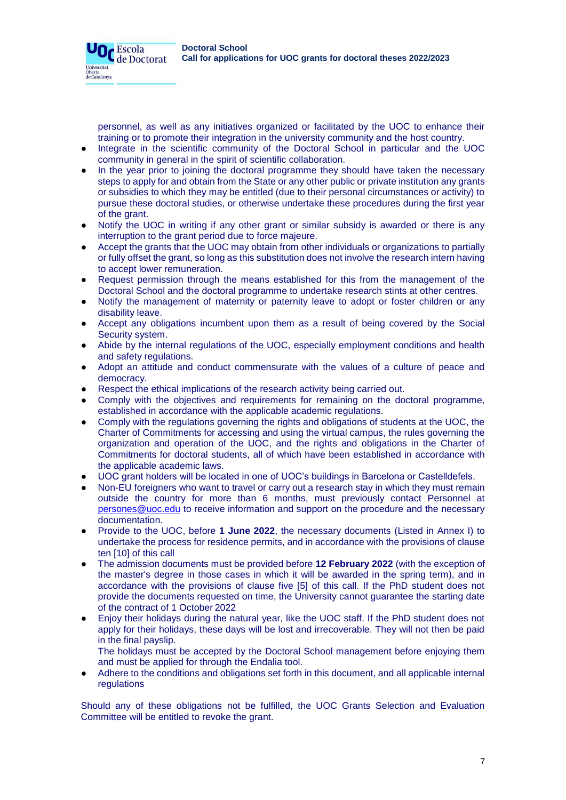

personnel, as well as any initiatives organized or facilitated by the UOC to enhance their training or to promote their integration in the university community and the host country.

- Integrate in the scientific community of the Doctoral School in particular and the UOC community in general in the spirit of scientific collaboration.
- In the year prior to joining the doctoral programme they should have taken the necessary steps to apply for and obtain from the State or any other public or private institution any grants or subsidies to which they may be entitled (due to their personal circumstances or activity) to pursue these doctoral studies, or otherwise undertake these procedures during the first year of the grant.
- Notify the UOC in writing if any other grant or similar subsidy is awarded or there is any interruption to the grant period due to force majeure.
- Accept the grants that the UOC may obtain from other individuals or organizations to partially or fully offset the grant, so long as this substitution does not involve the research intern having to accept lower remuneration.
- Request permission through the means established for this from the management of the Doctoral School and the doctoral programme to undertake research stints at other centres.
- Notify the management of maternity or paternity leave to adopt or foster children or any disability leave.
- Accept any obligations incumbent upon them as a result of being covered by the Social Security system.
- Abide by the internal regulations of the UOC, especially employment conditions and health and safety regulations.
- Adopt an attitude and conduct commensurate with the values of a culture of peace and democracy.
- Respect the ethical implications of the research activity being carried out.
- Comply with the objectives and requirements for remaining on the doctoral programme, established in accordance with the applicable academic regulations.
- Comply with the regulations governing the rights and obligations of students at the UOC, the Charter of Commitments for accessing and using the virtual campus, the rules governing the organization and operation of the UOC, and the rights and obligations in the Charter of Commitments for doctoral students, all of which have been established in accordance with the applicable academic laws.
- UOC grant holders will be located in one of UOC's buildings in Barcelona or Castelldefels.
- Non-EU foreigners who want to travel or carry out a research stay in which they must remain outside the country for more than 6 months, must previously contact Personnel at [persones@uoc.edu](mailto:persones@uoc.edu) to receive information and support on the procedure and the necessary documentation.
- Provide to the UOC, before **1 June 2022**, the necessary documents (Listed in Annex I) to undertake the process for residence permits, and in accordance with the provisions of clause ten [10] of this call
- The admission documents must be provided before 12 February 2022 (with the exception of the master's degree in those cases in which it will be awarded in the spring term), and in accordance with the provisions of clause five [5] of this call. If the PhD student does not provide the documents requested on time, the University cannot guarantee the starting date of the contract of 1 October 2022
- Enjoy their holidays during the natural year, like the UOC staff. If the PhD student does not apply for their holidays, these days will be lost and irrecoverable. They will not then be paid in the final payslip.

The holidays must be accepted by the Doctoral School management before enjoying them and must be applied for through the Endalia tool.

Adhere to the conditions and obligations set forth in this document, and all applicable internal regulations

Should any of these obligations not be fulfilled, the UOC Grants Selection and Evaluation Committee will be entitled to revoke the grant.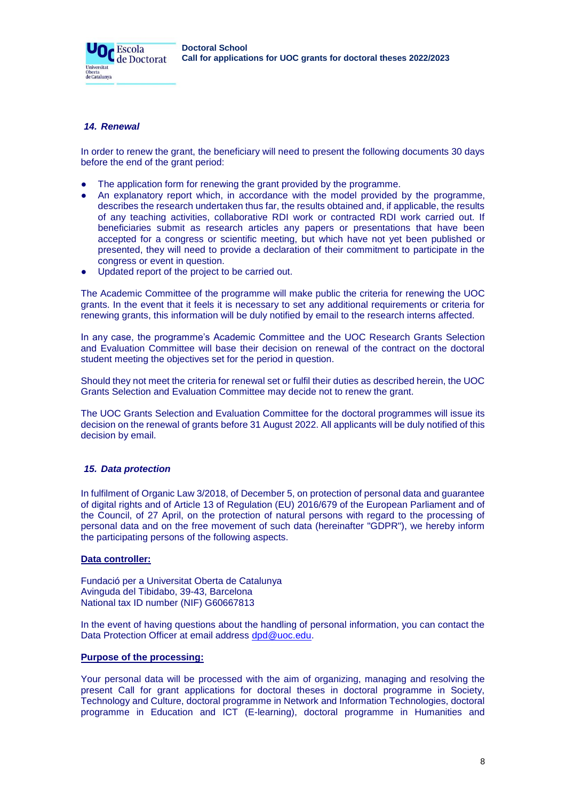# *14. Renewal*

Universitat Oberta<br>de Catalunya

**O**C Escola

In order to renew the grant, the beneficiary will need to present the following documents 30 days before the end of the grant period:

- The application form for renewing the grant provided by the programme.
- An explanatory report which, in accordance with the model provided by the programme, describes the research undertaken thus far, the results obtained and, if applicable, the results of any teaching activities, collaborative RDI work or contracted RDI work carried out. If beneficiaries submit as research articles any papers or presentations that have been accepted for a congress or scientific meeting, but which have not yet been published or presented, they will need to provide a declaration of their commitment to participate in the congress or event in question.
- Updated report of the project to be carried out.

The Academic Committee of the programme will make public the criteria for renewing the UOC grants. In the event that it feels it is necessary to set any additional requirements or criteria for renewing grants, this information will be duly notified by email to the research interns affected.

In any case, the programme's Academic Committee and the UOC Research Grants Selection and Evaluation Committee will base their decision on renewal of the contract on the doctoral student meeting the objectives set for the period in question.

Should they not meet the criteria for renewal set or fulfil their duties as described herein, the UOC Grants Selection and Evaluation Committee may decide not to renew the grant.

The UOC Grants Selection and Evaluation Committee for the doctoral programmes will issue its decision on the renewal of grants before 31 August 2022. All applicants will be duly notified of this decision by email.

### *15. Data protection*

In fulfilment of Organic Law 3/2018, of December 5, on protection of personal data and guarantee of digital rights and of Article 13 of Regulation (EU) 2016/679 of the European Parliament and of the Council, of 27 April, on the protection of natural persons with regard to the processing of personal data and on the free movement of such data (hereinafter "GDPR"), we hereby inform the participating persons of the following aspects.

### **Data controller:**

Fundació per a Universitat Oberta de Catalunya Avinguda del Tibidabo, 39-43, Barcelona National tax ID number (NIF) G60667813

In the event of having questions about the handling of personal information, you can contact the Data Protection Officer at email address [dpd@uoc.edu.](mailto:dpd@uoc.edu)

### **Purpose of the processing:**

Your personal data will be processed with the aim of organizing, managing and resolving the present Call for grant applications for doctoral theses in doctoral programme in Society, Technology and Culture, doctoral programme in Network and Information Technologies, doctoral programme in Education and ICT (E-learning), doctoral programme in Humanities and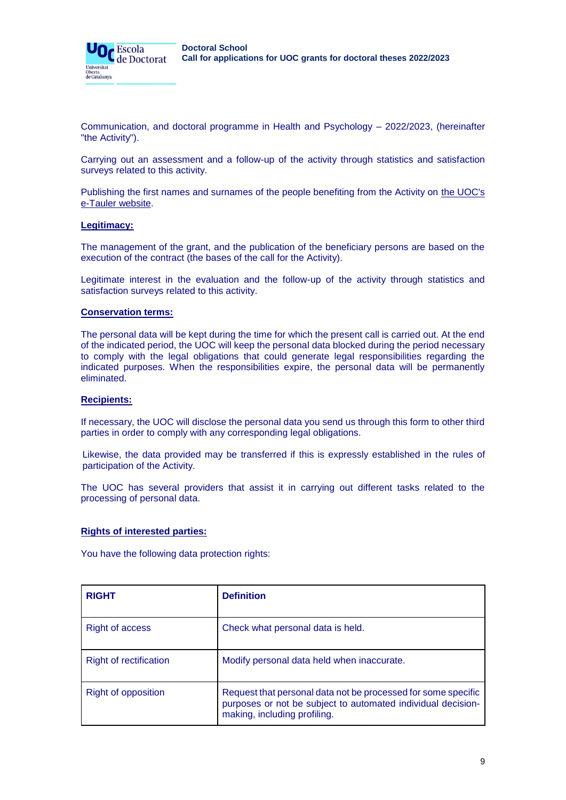

Communication, and doctoral programme in Health and Psychology – 2022/2023, (hereinafter "the Activity").

Carrying out an assessment and a follow-up of the activity through statistics and satisfaction surveys related to this activity.

Publishing the first names and surnames of the people benefiting from the Activity on [the UOC's](https://seu-electronica.uoc.edu/portal/ca/seu-electronica/tramits-serveis/tauler-anuncis/index.html) [e-Tauler website.](https://seu-electronica.uoc.edu/portal/ca/seu-electronica/tramits-serveis/tauler-anuncis/index.html)

### **Legitimacy:**

The management of the grant, and the publication of the beneficiary persons are based on the execution of the contract (the bases of the call for the Activity).

Legitimate interest in the evaluation and the follow-up of the activity through statistics and satisfaction surveys related to this activity.

### **Conservation terms:**

The personal data will be kept during the time for which the present call is carried out. At the end of the indicated period, the UOC will keep the personal data blocked during the period necessary to comply with the legal obligations that could generate legal responsibilities regarding the indicated purposes. When the responsibilities expire, the personal data will be permanently eliminated.

### **Recipients:**

If necessary, the UOC will disclose the personal data you send us through this form to other third parties in order to comply with any corresponding legal obligations.

Likewise, the data provided may be transferred if this is expressly established in the rules of participation of the Activity.

The UOC has several providers that assist it in carrying out different tasks related to the processing of personal data.

### **Rights of interested parties:**

You have the following data protection rights:

| <b>RIGHT</b>                  | <b>Definition</b>                                                                                                                                             |
|-------------------------------|---------------------------------------------------------------------------------------------------------------------------------------------------------------|
| <b>Right of access</b>        | Check what personal data is held.                                                                                                                             |
| <b>Right of rectification</b> | Modify personal data held when inaccurate.                                                                                                                    |
| <b>Right of opposition</b>    | Request that personal data not be processed for some specific<br>purposes or not be subject to automated individual decision-<br>making, including profiling. |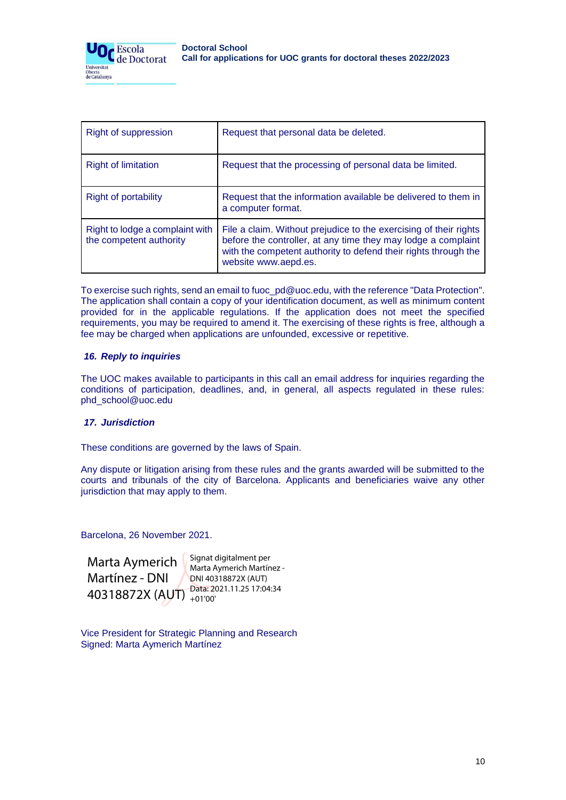

| Right of suppression                                       | Request that personal data be deleted.                                                                                                                                                                                        |
|------------------------------------------------------------|-------------------------------------------------------------------------------------------------------------------------------------------------------------------------------------------------------------------------------|
| <b>Right of limitation</b>                                 | Request that the processing of personal data be limited.                                                                                                                                                                      |
| Right of portability                                       | Request that the information available be delivered to them in<br>a computer format.                                                                                                                                          |
| Right to lodge a complaint with<br>the competent authority | File a claim. Without prejudice to the exercising of their rights<br>before the controller, at any time they may lodge a complaint<br>with the competent authority to defend their rights through the<br>website www.aepd.es. |

To exercise such rights, send an email to fuoc\_pd@uoc.edu, with the reference "Data Protection". The application shall contain a copy of your identification document, as well as minimum content provided for in the applicable regulations. If the application does not meet the specified requirements, you may be required to amend it. The exercising of these rights is free, although a fee may be charged when applications are unfounded, excessive or repetitive.

# *16. Reply to inquiries*

The UOC makes available to participants in this call an email address for inquiries regarding the conditions of participation, deadlines, and, in general, all aspects regulated in these rules: phd\_school@uoc.edu

### *17. Jurisdiction*

These conditions are governed by the laws of Spain.

Any dispute or litigation arising from these rules and the grants awarded will be submitted to the courts and tribunals of the city of Barcelona. Applicants and beneficiaries waive any other jurisdiction that may apply to them.

Barcelona, 26 November 2021.

Marta Aymerich Martínez - DNI 40318872X (AUT) <sup>Data: 2021.11.25 17:04:34</sup> Signat digitalment per Marta Aymerich Martínez - DNI 40318872X (AUT) +01'00'

Vice President for Strategic Planning and Research Signed: Marta Aymerich Martínez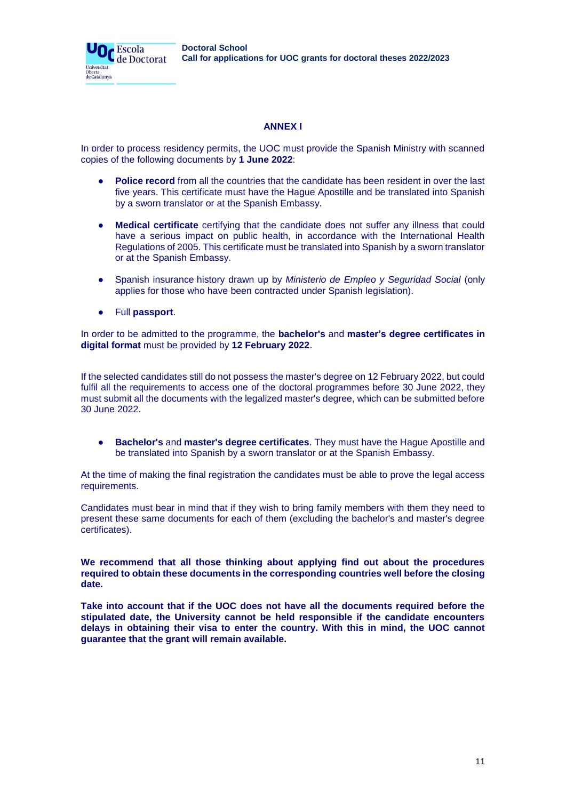**Doctoral School Call for applications for UOC grants for doctoral theses 2022/2023**

# **ANNEX I**

In order to process residency permits, the UOC must provide the Spanish Ministry with scanned copies of the following documents by **1 June 2022**:

- Police record from all the countries that the candidate has been resident in over the last five years. This certificate must have the Hague Apostille and be translated into Spanish by a sworn translator or at the Spanish Embassy.
- **Medical certificate** certifying that the candidate does not suffer any illness that could have a serious impact on public health, in accordance with the International Health Regulations of 2005. This certificate must be translated into Spanish by a sworn translator or at the Spanish Embassy.
- Spanish insurance history drawn up by *Ministerio de Empleo y Seguridad Social* (only applies for those who have been contracted under Spanish legislation).
- Full **passport**.

Or Escola

Universitat Oberta<br>de Catalunya de Doctorat

In order to be admitted to the programme, the **bachelor's** and **master's degree certificates in digital format** must be provided by **12 February 2022**.

If the selected candidates still do not possess the master's degree on 12 February 2022, but could fulfil all the requirements to access one of the doctoral programmes before 30 June 2022, they must submit all the documents with the legalized master's degree, which can be submitted before 30 June 2022.

● **Bachelor's** and **master's degree certificates**. They must have the Hague Apostille and be translated into Spanish by a sworn translator or at the Spanish Embassy.

At the time of making the final registration the candidates must be able to prove the legal access requirements.

Candidates must bear in mind that if they wish to bring family members with them they need to present these same documents for each of them (excluding the bachelor's and master's degree certificates).

**We recommend that all those thinking about applying find out about the procedures required to obtain these documents in the corresponding countries well before the closing date.**

**Take into account that if the UOC does not have all the documents required before the stipulated date, the University cannot be held responsible if the candidate encounters delays in obtaining their visa to enter the country. With this in mind, the UOC cannot guarantee that the grant will remain available.**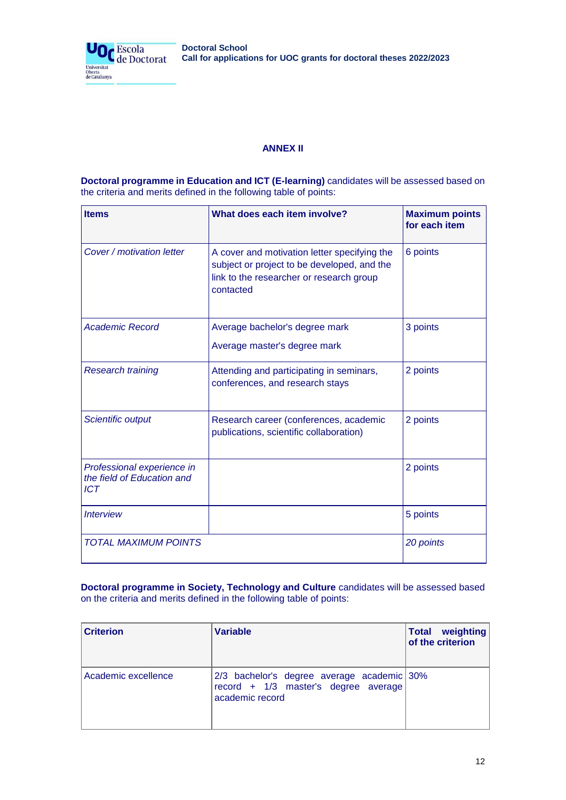| <b>Doctoral School</b>                                             |  |  |
|--------------------------------------------------------------------|--|--|
| Call for applications for UOC grants for doctoral theses 2022/2023 |  |  |



# **ANNEX II**

**Doctoral programme in Education and ICT (E-learning)** candidates will be assessed based on the criteria and merits defined in the following table of points:

| <b>Items</b>                                                           | What does each item involve?                                                                                                                         | <b>Maximum points</b><br>for each item |
|------------------------------------------------------------------------|------------------------------------------------------------------------------------------------------------------------------------------------------|----------------------------------------|
| Cover / motivation letter                                              | A cover and motivation letter specifying the<br>subject or project to be developed, and the<br>link to the researcher or research group<br>contacted | 6 points                               |
| <b>Academic Record</b>                                                 | Average bachelor's degree mark<br>Average master's degree mark                                                                                       | 3 points                               |
| <b>Research training</b>                                               | Attending and participating in seminars,<br>conferences, and research stays                                                                          | 2 points                               |
| Scientific output                                                      | Research career (conferences, academic<br>publications, scientific collaboration)                                                                    | 2 points                               |
| Professional experience in<br>the field of Education and<br><b>ICT</b> |                                                                                                                                                      | 2 points                               |
| <b>Interview</b>                                                       |                                                                                                                                                      | 5 points                               |
| <b>TOTAL MAXIMUM POINTS</b>                                            |                                                                                                                                                      | 20 points                              |

**Doctoral programme in Society, Technology and Culture** candidates will be assessed based on the criteria and merits defined in the following table of points:

| <b>Criterion</b>    | <b>Variable</b>                                                                                       | <b>Total weighting</b><br>of the criterion |
|---------------------|-------------------------------------------------------------------------------------------------------|--------------------------------------------|
| Academic excellence | 2/3 bachelor's degree average academic 30%<br>record + 1/3 master's degree average<br>academic record |                                            |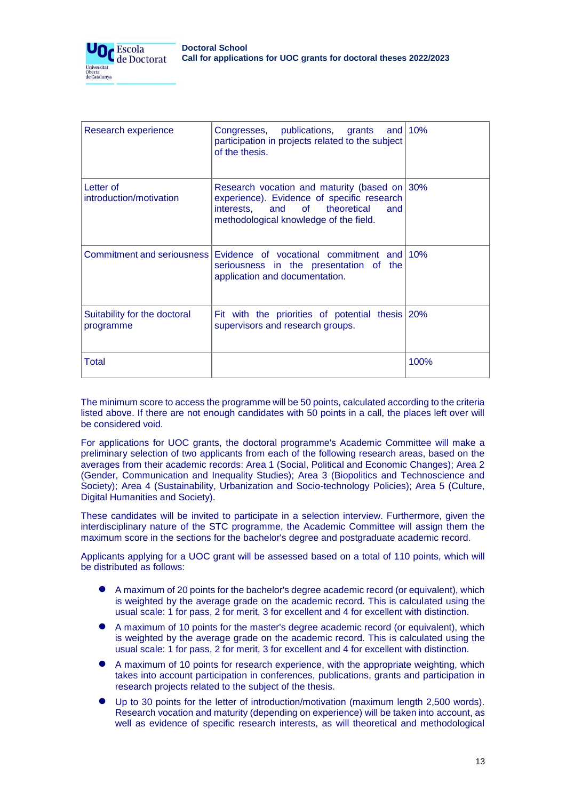

| Research experience                       | Congresses, publications, grants and 10%<br>participation in projects related to the subject<br>of the thesis.                                                               |      |
|-------------------------------------------|------------------------------------------------------------------------------------------------------------------------------------------------------------------------------|------|
| Letter of<br>introduction/motivation      | Research vocation and maturity (based on 30%<br>experience). Evidence of specific research<br>interests, and of theoretical<br>and<br>methodological knowledge of the field. |      |
| Commitment and seriousness                | Evidence of vocational commitment and 10%<br>seriousness in the presentation of the<br>application and documentation.                                                        |      |
| Suitability for the doctoral<br>programme | Fit with the priorities of potential thesis 20%<br>supervisors and research groups.                                                                                          |      |
| Total                                     |                                                                                                                                                                              | 100% |

The minimum score to access the programme will be 50 points, calculated according to the criteria listed above. If there are not enough candidates with 50 points in a call, the places left over will be considered void.

For applications for UOC grants, the doctoral programme's Academic Committee will make a preliminary selection of two applicants from each of the following research areas, based on the averages from their academic records: Area 1 (Social, Political and Economic Changes); Area 2 (Gender, Communication and Inequality Studies); Area 3 (Biopolitics and Technoscience and Society); Area 4 (Sustainability, Urbanization and Socio-technology Policies); Area 5 (Culture, Digital Humanities and Society).

These candidates will be invited to participate in a selection interview. Furthermore, given the interdisciplinary nature of the STC programme, the Academic Committee will assign them the maximum score in the sections for the bachelor's degree and postgraduate academic record.

Applicants applying for a UOC grant will be assessed based on a total of 110 points, which will be distributed as follows:

- A maximum of 20 points for the bachelor's degree academic record (or equivalent), which is weighted by the average grade on the academic record. This is calculated using the usual scale: 1 for pass, 2 for merit, 3 for excellent and 4 for excellent with distinction.
- A maximum of 10 points for the master's degree academic record (or equivalent), which is weighted by the average grade on the academic record. This is calculated using the usual scale: 1 for pass, 2 for merit, 3 for excellent and 4 for excellent with distinction.
- A maximum of 10 points for research experience, with the appropriate weighting, which takes into account participation in conferences, publications, grants and participation in research projects related to the subject of the thesis.
- Up to 30 points for the letter of introduction/motivation (maximum length 2,500 words). Research vocation and maturity (depending on experience) will be taken into account, as well as evidence of specific research interests, as will theoretical and methodological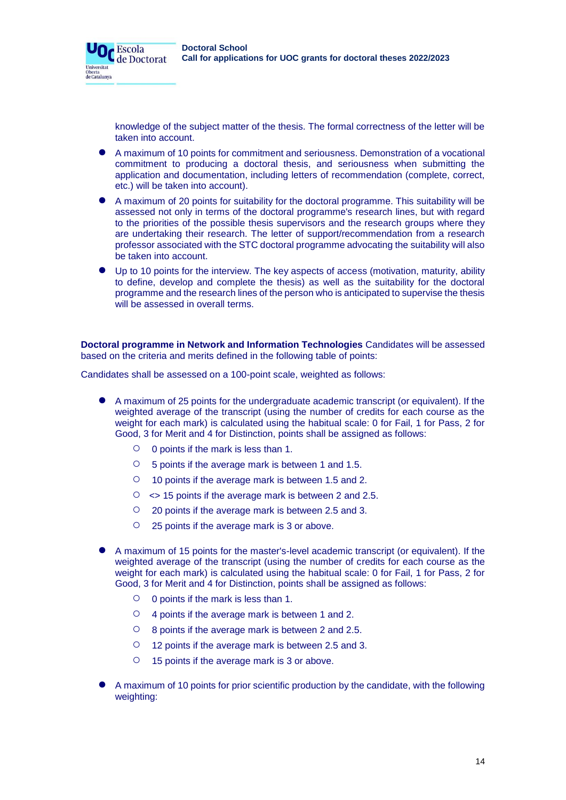knowledge of the subject matter of the thesis. The formal correctness of the letter will be taken into account.

- A maximum of 10 points for commitment and seriousness. Demonstration of a vocational commitment to producing a doctoral thesis, and seriousness when submitting the application and documentation, including letters of recommendation (complete, correct, etc.) will be taken into account).
- A maximum of 20 points for suitability for the doctoral programme. This suitability will be assessed not only in terms of the doctoral programme's research lines, but with regard to the priorities of the possible thesis supervisors and the research groups where they are undertaking their research. The letter of support/recommendation from a research professor associated with the STC doctoral programme advocating the suitability will also be taken into account.
- Up to 10 points for the interview. The key aspects of access (motivation, maturity, ability to define, develop and complete the thesis) as well as the suitability for the doctoral programme and the research lines of the person who is anticipated to supervise the thesis will be assessed in overall terms.

**Doctoral programme in Network and Information Technologies** Candidates will be assessed based on the criteria and merits defined in the following table of points:

Candidates shall be assessed on a 100-point scale, weighted as follows:

- A maximum of 25 points for the undergraduate academic transcript (or equivalent). If the weighted average of the transcript (using the number of credits for each course as the weight for each mark) is calculated using the habitual scale: 0 for Fail, 1 for Pass, 2 for Good, 3 for Merit and 4 for Distinction, points shall be assigned as follows:
	- 0 points if the mark is less than 1.

**O**C Escola

Universitat Oberta<br>de Catalunya de Doctorat

- 5 points if the average mark is between 1 and 1.5.
- 10 points if the average mark is between 1.5 and 2.
- $\circ$   $\leq$  15 points if the average mark is between 2 and 2.5.
- 20 points if the average mark is between 2.5 and 3.
- 25 points if the average mark is 3 or above.
- A maximum of 15 points for the master's-level academic transcript (or equivalent). If the weighted average of the transcript (using the number of credits for each course as the weight for each mark) is calculated using the habitual scale: 0 for Fail, 1 for Pass, 2 for Good, 3 for Merit and 4 for Distinction, points shall be assigned as follows:
	- 0 points if the mark is less than 1.
	- 4 points if the average mark is between 1 and 2.
	- 8 points if the average mark is between 2 and 2.5.
	- 12 points if the average mark is between 2.5 and 3.
	- 15 points if the average mark is 3 or above.
- A maximum of 10 points for prior scientific production by the candidate, with the following weighting: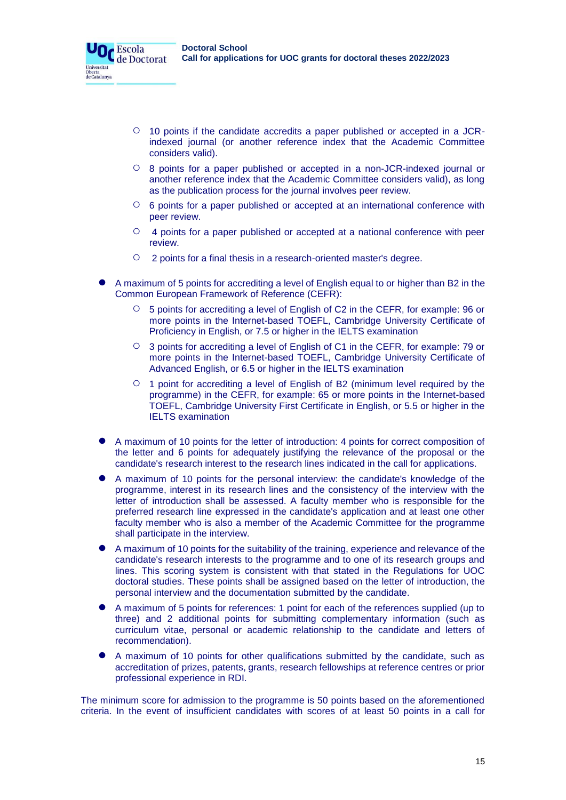Escola de Doctorat

Universitat Oberta<br>de Catalunya

- 10 points if the candidate accredits a paper published or accepted in a JCRindexed journal (or another reference index that the Academic Committee considers valid).
- 8 points for a paper published or accepted in a non-JCR-indexed journal or another reference index that the Academic Committee considers valid), as long as the publication process for the journal involves peer review.
- 6 points for a paper published or accepted at an international conference with peer review.
- 4 points for a paper published or accepted at a national conference with peer review.
- 2 points for a final thesis in a research-oriented master's degree.
- A maximum of 5 points for accrediting a level of English equal to or higher than B2 in the Common European Framework of Reference (CEFR):
	- 5 points for accrediting a level of English of C2 in the CEFR, for example: 96 or more points in the Internet-based TOEFL, Cambridge University Certificate of Proficiency in English, or 7.5 or higher in the IELTS examination
	- 3 points for accrediting a level of English of C1 in the CEFR, for example: 79 or more points in the Internet-based TOEFL, Cambridge University Certificate of Advanced English, or 6.5 or higher in the IELTS examination
	- $\circ$  1 point for accrediting a level of English of B2 (minimum level required by the programme) in the CEFR, for example: 65 or more points in the Internet-based TOEFL, Cambridge University First Certificate in English, or 5.5 or higher in the IELTS examination
- A maximum of 10 points for the letter of introduction: 4 points for correct composition of the letter and 6 points for adequately justifying the relevance of the proposal or the candidate's research interest to the research lines indicated in the call for applications.
- A maximum of 10 points for the personal interview: the candidate's knowledge of the programme, interest in its research lines and the consistency of the interview with the letter of introduction shall be assessed. A faculty member who is responsible for the preferred research line expressed in the candidate's application and at least one other faculty member who is also a member of the Academic Committee for the programme shall participate in the interview.
- A maximum of 10 points for the suitability of the training, experience and relevance of the candidate's research interests to the programme and to one of its research groups and lines. This scoring system is consistent with that stated in the Regulations for UOC doctoral studies. These points shall be assigned based on the letter of introduction, the personal interview and the documentation submitted by the candidate.
- A maximum of 5 points for references: 1 point for each of the references supplied (up to three) and 2 additional points for submitting complementary information (such as curriculum vitae, personal or academic relationship to the candidate and letters of recommendation).
- A maximum of 10 points for other qualifications submitted by the candidate, such as accreditation of prizes, patents, grants, research fellowships at reference centres or prior professional experience in RDI.

The minimum score for admission to the programme is 50 points based on the aforementioned criteria. In the event of insufficient candidates with scores of at least 50 points in a call for